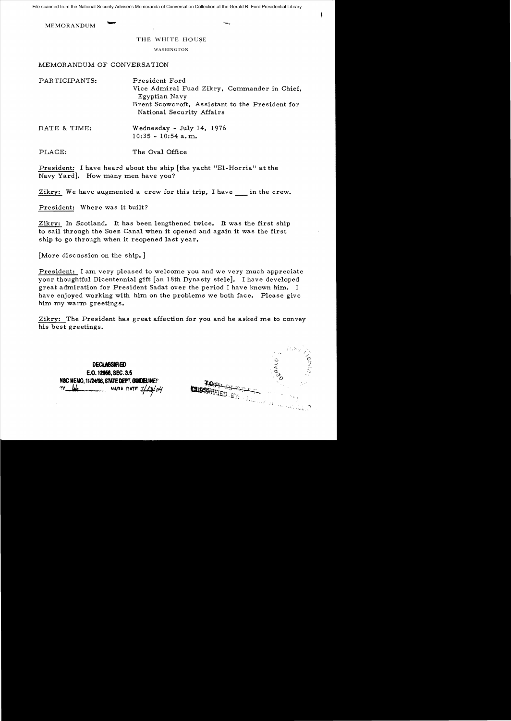File scanned from the National Security Adviser's Memoranda of Conversation Collection at the Gerald R. Ford Presidential Library

| MEMORANDUM                     |                                                                                                                                                                 |
|--------------------------------|-----------------------------------------------------------------------------------------------------------------------------------------------------------------|
| THE WHITE HOUSE                |                                                                                                                                                                 |
|                                | WASHINGTON                                                                                                                                                      |
| MEMORANDUM OF CONVERSATION     |                                                                                                                                                                 |
| PARTICIPANTS:                  | President Ford<br>Vice Admiral Fuad Zikry, Commander in Chief,<br>Egyptian Navy<br>Brent Scowcroft, Assistant to the President for<br>National Security Affairs |
| DATE & TIME:                   | Wednesday - July 14, 1976<br>$10:35 - 10:54$ a.m.                                                                                                               |
| PLACE:                         | The Oval Office                                                                                                                                                 |
| wiji kata kutha kutha kutha wa |                                                                                                                                                                 |

President: I have heard about the ship  $[$ the yacht "El-Horria" at the Navy Yard]. How many men have you?

Zikry: We have augmented a crew for this trip, I have in the crew.

President: Where was it built?

Zikry: In Scotland. It has been lengthened twice. It was the first ship to sail through the Suez Canal when it opened and again it was the first ship to go through when it reopened last year.

[More discussion on the ship.]

President: I am very pleased to welcome you and we very much appreciate your thoughtful Bicentennial gift [an 18th Dynasty stele]. I have developed great admiration for President Sadat over the period I have known him. I have enjoyed working with him on the problems we both face. Please give him my warm greetings.

Zikry: The President has great affection for you and he asked me to convey his best greetings.

**DECLASSIFIED** E.O. **'2158,** SEC. 3.5 **N&C MEMO, 11/24/98, STATE DEPT. GUIDELINES** <sup>2</sup>Y <u>- Ida</u> - The MARA DATE 1/13/04

**AALO CLINSSIPP** SSESSES